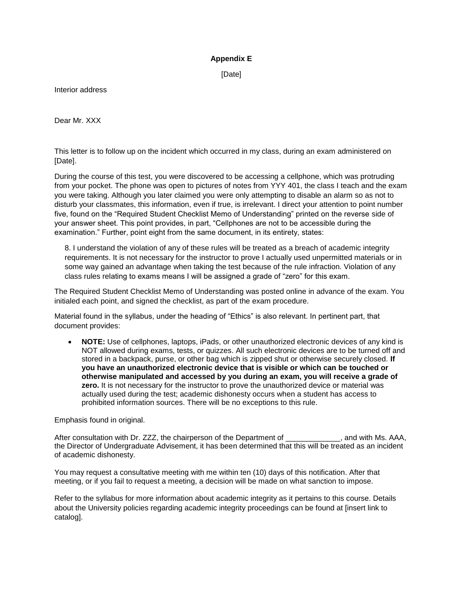## **Appendix E**

[Date]

Interior address

Dear Mr. XXX

This letter is to follow up on the incident which occurred in my class, during an exam administered on [Date].

During the course of this test, you were discovered to be accessing a cellphone, which was protruding from your pocket. The phone was open to pictures of notes from YYY 401, the class I teach and the exam you were taking. Although you later claimed you were only attempting to disable an alarm so as not to disturb your classmates, this information, even if true, is irrelevant. I direct your attention to point number five, found on the "Required Student Checklist Memo of Understanding" printed on the reverse side of your answer sheet. This point provides, in part, "Cellphones are not to be accessible during the examination." Further, point eight from the same document, in its entirety, states:

8. I understand the violation of any of these rules will be treated as a breach of academic integrity requirements. It is not necessary for the instructor to prove I actually used unpermitted materials or in some way gained an advantage when taking the test because of the rule infraction. Violation of any class rules relating to exams means I will be assigned a grade of "zero" for this exam.

The Required Student Checklist Memo of Understanding was posted online in advance of the exam. You initialed each point, and signed the checklist, as part of the exam procedure.

Material found in the syllabus, under the heading of "Ethics" is also relevant. In pertinent part, that document provides:

 **NOTE:** Use of cellphones, laptops, iPads, or other unauthorized electronic devices of any kind is NOT allowed during exams, tests, or quizzes. All such electronic devices are to be turned off and stored in a backpack, purse, or other bag which is zipped shut or otherwise securely closed. **If you have an unauthorized electronic device that is visible or which can be touched or otherwise manipulated and accessed by you during an exam, you will receive a grade of zero.** It is not necessary for the instructor to prove the unauthorized device or material was actually used during the test; academic dishonesty occurs when a student has access to prohibited information sources. There will be no exceptions to this rule.

Emphasis found in original.

After consultation with Dr. ZZZ, the chairperson of the Department of \_\_\_\_\_\_\_\_\_\_\_\_\_, and with Ms. AAA, the Director of Undergraduate Advisement, it has been determined that this will be treated as an incident of academic dishonesty.

You may request a consultative meeting with me within ten (10) days of this notification. After that meeting, or if you fail to request a meeting, a decision will be made on what sanction to impose.

Refer to the syllabus for more information about academic integrity as it pertains to this course. Details about the University policies regarding academic integrity proceedings can be found at [insert link to catalog].